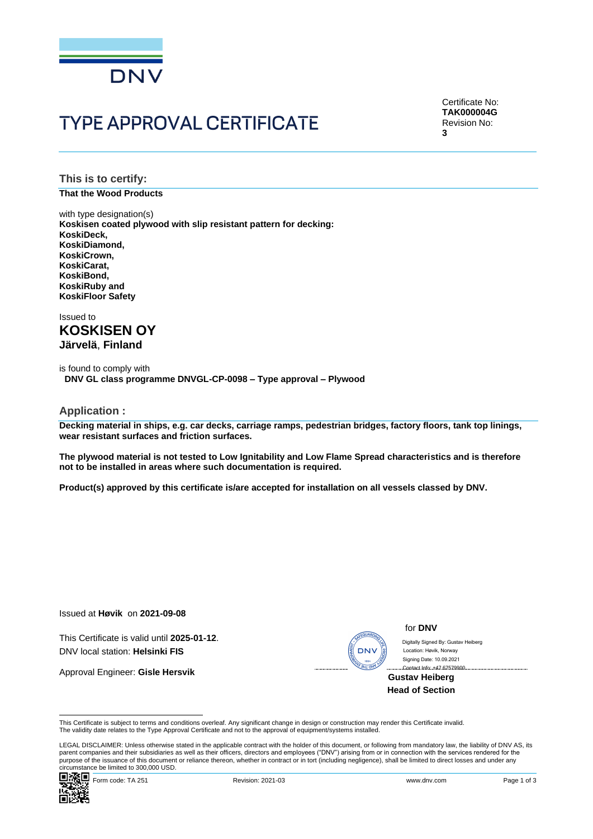

# **TYPE APPROVAL CERTIFICATE**

Certificate No: **TAK000004G** Revision No: **3**

**This is to certify:**

**That the Wood Products**

with type designation(s) **Koskisen coated plywood with slip resistant pattern for decking: KoskiDeck, KoskiDiamond, KoskiCrown, KoskiCarat, KoskiBond, KoskiRuby and KoskiFloor Safety**

Issued to **KOSKISEN OY Järvelä**, **Finland**

is found to comply with **DNV GL class programme DNVGL-CP-0098 – Type approval – Plywood**

**Application :**

**Decking material in ships, e.g. car decks, carriage ramps, pedestrian bridges, factory floors, tank top linings, wear resistant surfaces and friction surfaces.** 

**The plywood material is not tested to Low Ignitability and Low Flame Spread characteristics and is therefore not to be installed in areas where such documentation is required.**

**Product(s) approved by this certificate is/are accepted for installation on all vessels classed by DNV.**

Issued at **Høvik** on **2021-09-08**

This Certificate is valid until **2025-01-12**. DNV local station: **Helsinki FIS**

Approval Engineer: **Gisle Hersvik**

#### for **DNV**

 Contact Info: +47 67579900 Signing Date: 10.09.2021 Location: Høvik, Norway

**Gustav Heiberg Head of Section**

This Certificate is subject to terms and conditions overleaf. Any significant change in design or construction may render this Certificate invalid.<br>The validity date relates to the Type Approval Certificate and not to the

LEGAL DISCLAIMER: Unless otherwise stated in the applicable contract with the holder of this document, or following from mandatory law, the liability of DNV AS, its<br>parent companies and their subsidiaries as well as their purpose of the issuance of this document or reliance thereon, whether in contract or in tort (including negligence), shall be limited to direct losses and under any circumstance be limited to 300,000 USD. CIVITER CHANGE CONTROLL CONTROLL CONTROLL CONTROLL CONTROLL CONTROLL CONTROLL CONTROLL CONTROLL CONTROLL CONTROLL CONTROLL CONTROLL CONTROLL CONTROLL CONTROLL CONTROLL CONTROLL CONTROLL CONTROLL CONTROLL CONTROLL CONTROLL

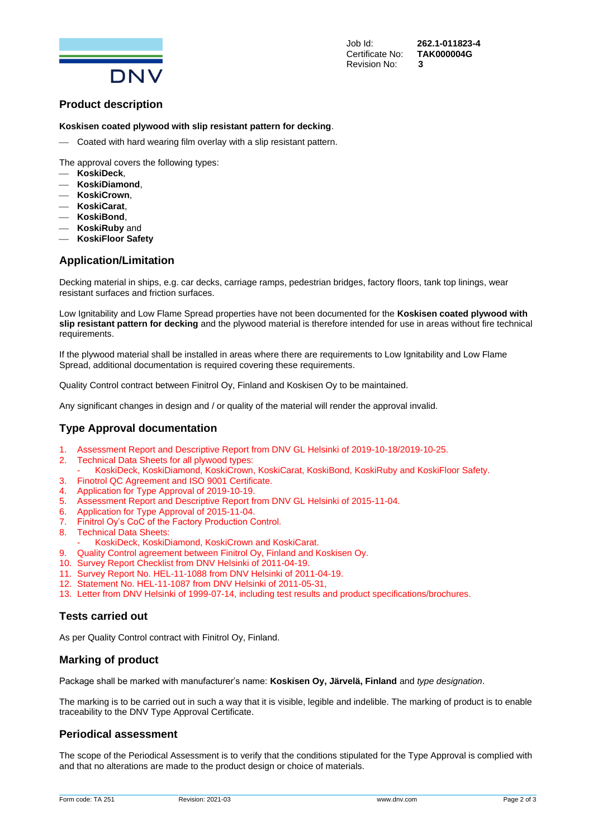

Job Id: **262.1-011823-4**

# **Product description**

#### **Koskisen coated plywood with slip resistant pattern for decking**.

- Coated with hard wearing film overlay with a slip resistant pattern.

The approval covers the following types:

- ⎯ **KoskiDeck**,
- ⎯ **KoskiDiamond**,
- ⎯ **KoskiCrown**,
- ⎯ **KoskiCarat**,
- ⎯ **KoskiBond**,
- ⎯ **KoskiRuby** and
- ⎯ **KoskiFloor Safety**

# **Application/Limitation**

Decking material in ships, e.g. car decks, carriage ramps, pedestrian bridges, factory floors, tank top linings, wear resistant surfaces and friction surfaces.

Low Ignitability and Low Flame Spread properties have not been documented for the **Koskisen coated plywood with slip resistant pattern for decking** and the plywood material is therefore intended for use in areas without fire technical requirements.

If the plywood material shall be installed in areas where there are requirements to Low Ignitability and Low Flame Spread, additional documentation is required covering these requirements.

Quality Control contract between Finitrol Oy, Finland and Koskisen Oy to be maintained.

Any significant changes in design and / or quality of the material will render the approval invalid.

# **Type Approval documentation**

- 1. Assessment Report and Descriptive Report from DNV GL Helsinki of 2019-10-18/2019-10-25.
- 2. Technical Data Sheets for all plywood types:
- KoskiDeck, KoskiDiamond, KoskiCrown, KoskiCarat, KoskiBond, KoskiRuby and KoskiFloor Safety.
- 3. Finotrol QC Agreement and ISO 9001 Certificate.
- 4. Application for Type Approval of 2019-10-19.
- 5. Assessment Report and Descriptive Report from DNV GL Helsinki of 2015-11-04.
- 6. Application for Type Approval of 2015-11-04.
- 7. Finitrol Oy's CoC of the Factory Production Control.
- 8. Technical Data Sheets:
	- KoskiDeck, KoskiDiamond, KoskiCrown and KoskiCarat.
- 9. Quality Control agreement between Finitrol Oy, Finland and Koskisen Oy.
- 10. Survey Report Checklist from DNV Helsinki of 2011-04-19.
- 11. Survey Report No. HEL-11-1088 from DNV Helsinki of 2011-04-19.
- 12. Statement No. HEL-11-1087 from DNV Helsinki of 2011-05-31,
- 13. Letter from DNV Helsinki of 1999-07-14, including test results and product specifications/brochures.

# **Tests carried out**

As per Quality Control contract with Finitrol Oy, Finland.

#### **Marking of product**

Package shall be marked with manufacturer's name: **Koskisen Oy, Järvelä, Finland** and *type designation*.

The marking is to be carried out in such a way that it is visible, legible and indelible. The marking of product is to enable traceability to the DNV Type Approval Certificate.

#### **Periodical assessment**

The scope of the Periodical Assessment is to verify that the conditions stipulated for the Type Approval is complied with and that no alterations are made to the product design or choice of materials.